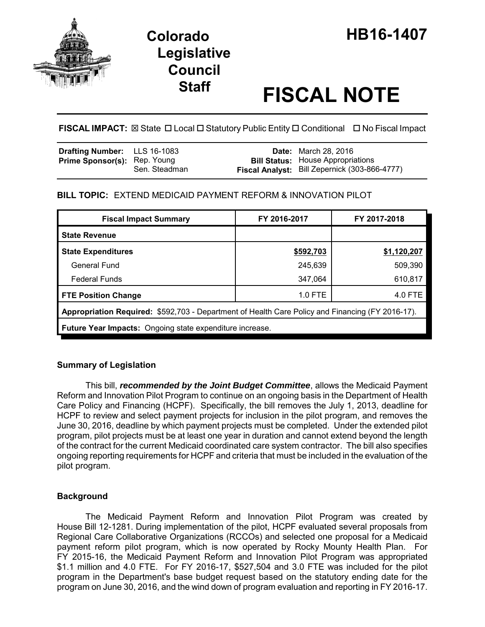

# **Legislative Council**

# **Staff FISCAL NOTE**

**FISCAL IMPACT:** ⊠ State □ Local □ Statutory Public Entity □ Conditional □ No Fiscal Impact

| <b>Drafting Number:</b> LLS 16-1083 |               | <b>Date:</b> March 28, 2016                                                               |
|-------------------------------------|---------------|-------------------------------------------------------------------------------------------|
| <b>Prime Sponsor(s): Rep. Young</b> | Sen. Steadman | <b>Bill Status:</b> House Appropriations<br>Fiscal Analyst: Bill Zepernick (303-866-4777) |

# **BILL TOPIC:** EXTEND MEDICAID PAYMENT REFORM & INNOVATION PILOT

| <b>Fiscal Impact Summary</b>                                                                     | FY 2016-2017 | FY 2017-2018 |  |  |  |
|--------------------------------------------------------------------------------------------------|--------------|--------------|--|--|--|
| <b>State Revenue</b>                                                                             |              |              |  |  |  |
| <b>State Expenditures</b>                                                                        | \$592,703    | \$1,120,207  |  |  |  |
| General Fund                                                                                     | 245,639      | 509,390      |  |  |  |
| <b>Federal Funds</b>                                                                             | 347,064      | 610,817      |  |  |  |
| <b>FTE Position Change</b>                                                                       | $1.0$ FTE    | 4.0 FTE      |  |  |  |
| Appropriation Required: \$592,703 - Department of Health Care Policy and Financing (FY 2016-17). |              |              |  |  |  |
| <b>Future Year Impacts:</b> Ongoing state expenditure increase.                                  |              |              |  |  |  |

# **Summary of Legislation**

This bill, *recommended by the Joint Budget Committee*, allows the Medicaid Payment Reform and Innovation Pilot Program to continue on an ongoing basis in the Department of Health Care Policy and Financing (HCPF). Specifically, the bill removes the July 1, 2013, deadline for HCPF to review and select payment projects for inclusion in the pilot program, and removes the June 30, 2016, deadline by which payment projects must be completed. Under the extended pilot program, pilot projects must be at least one year in duration and cannot extend beyond the length of the contract for the current Medicaid coordinated care system contractor. The bill also specifies ongoing reporting requirements for HCPF and criteria that must be included in the evaluation of the pilot program.

# **Background**

The Medicaid Payment Reform and Innovation Pilot Program was created by House Bill 12-1281. During implementation of the pilot, HCPF evaluated several proposals from Regional Care Collaborative Organizations (RCCOs) and selected one proposal for a Medicaid payment reform pilot program, which is now operated by Rocky Mounty Health Plan. For FY 2015-16, the Medicaid Payment Reform and Innovation Pilot Program was appropriated \$1.1 million and 4.0 FTE. For FY 2016-17, \$527,504 and 3.0 FTE was included for the pilot program in the Department's base budget request based on the statutory ending date for the program on June 30, 2016, and the wind down of program evaluation and reporting in FY 2016-17.